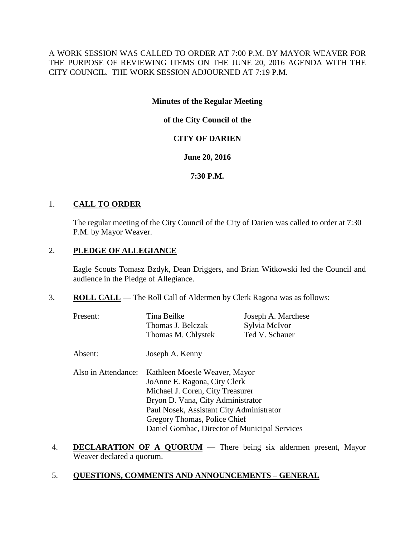A WORK SESSION WAS CALLED TO ORDER AT 7:00 P.M. BY MAYOR WEAVER FOR THE PURPOSE OF REVIEWING ITEMS ON THE JUNE 20, 2016 AGENDA WITH THE CITY COUNCIL. THE WORK SESSION ADJOURNED AT 7:19 P.M.

# **Minutes of the Regular Meeting**

**of the City Council of the**

# **CITY OF DARIEN**

#### **June 20, 2016**

# **7:30 P.M.**

#### 1. **CALL TO ORDER**

The regular meeting of the City Council of the City of Darien was called to order at 7:30 P.M. by Mayor Weaver.

# 2. **PLEDGE OF ALLEGIANCE**

Eagle Scouts Tomasz Bzdyk, Dean Driggers, and Brian Witkowski led the Council and audience in the Pledge of Allegiance.

3. **ROLL CALL** — The Roll Call of Aldermen by Clerk Ragona was as follows:

| Present:            | Tina Beilke<br>Thomas J. Belczak              | Joseph A. Marchese<br>Sylvia McIvor |  |
|---------------------|-----------------------------------------------|-------------------------------------|--|
|                     | Thomas M. Chlystek                            | Ted V. Schauer                      |  |
| Absent:             | Joseph A. Kenny                               |                                     |  |
| Also in Attendance: | Kathleen Moesle Weaver, Mayor                 |                                     |  |
|                     | JoAnne E. Ragona, City Clerk                  |                                     |  |
|                     | Michael J. Coren, City Treasurer              |                                     |  |
|                     | Bryon D. Vana, City Administrator             |                                     |  |
|                     | Paul Nosek, Assistant City Administrator      |                                     |  |
|                     | Gregory Thomas, Police Chief                  |                                     |  |
|                     | Daniel Gombac, Director of Municipal Services |                                     |  |

- 4. **DECLARATION OF A QUORUM** There being six aldermen present, Mayor Weaver declared a quorum.
- 5. **QUESTIONS, COMMENTS AND ANNOUNCEMENTS – GENERAL**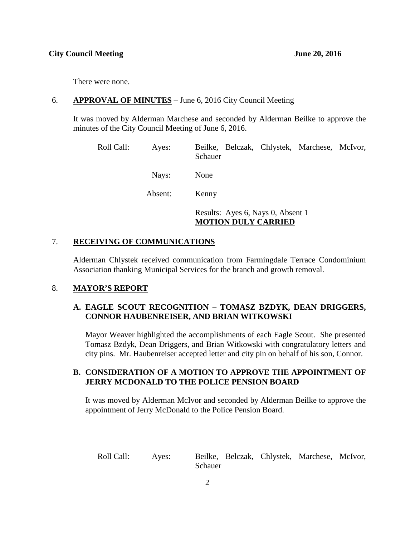There were none.

#### 6. **APPROVAL OF MINUTES –** June 6, 2016 City Council Meeting

It was moved by Alderman Marchese and seconded by Alderman Beilke to approve the minutes of the City Council Meeting of June 6, 2016.

| Roll Call: | Ayes:   | Beilke, Belczak, Chlystek, Marchese, McIvor,<br>Schauer         |
|------------|---------|-----------------------------------------------------------------|
|            | Nays:   | None                                                            |
|            | Absent: | Kenny                                                           |
|            |         | Results: Ayes 6, Nays 0, Absent 1<br><b>MOTION DULY CARRIED</b> |

# 7. **RECEIVING OF COMMUNICATIONS**

Alderman Chlystek received communication from Farmingdale Terrace Condominium Association thanking Municipal Services for the branch and growth removal.

# 8. **MAYOR'S REPORT**

# **A. EAGLE SCOUT RECOGNITION – TOMASZ BZDYK, DEAN DRIGGERS, CONNOR HAUBENREISER, AND BRIAN WITKOWSKI**

Mayor Weaver highlighted the accomplishments of each Eagle Scout. She presented Tomasz Bzdyk, Dean Driggers, and Brian Witkowski with congratulatory letters and city pins. Mr. Haubenreiser accepted letter and city pin on behalf of his son, Connor.

# **B. CONSIDERATION OF A MOTION TO APPROVE THE APPOINTMENT OF JERRY MCDONALD TO THE POLICE PENSION BOARD**

It was moved by Alderman McIvor and seconded by Alderman Beilke to approve the appointment of Jerry McDonald to the Police Pension Board.

Roll Call: Ayes: Beilke, Belczak, Chlystek, Marchese, McIvor, Schauer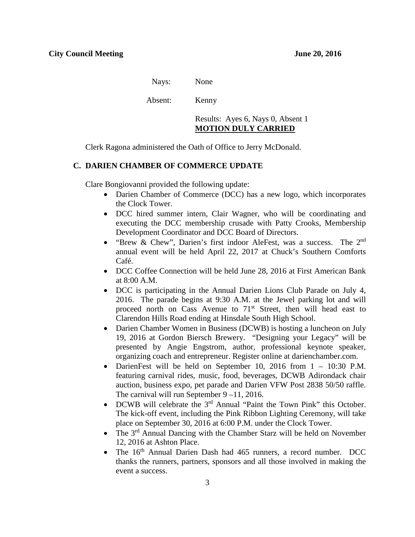Nays: None

Absent: Kenny

Results: Ayes 6, Nays 0, Absent 1 **MOTION DULY CARRIED**

Clerk Ragona administered the Oath of Office to Jerry McDonald.

#### **C. DARIEN CHAMBER OF COMMERCE UPDATE**

Clare Bongiovanni provided the following update:

- Darien Chamber of Commerce (DCC) has a new logo, which incorporates the Clock Tower.
- DCC hired summer intern, Clair Wagner, who will be coordinating and executing the DCC membership crusade with Patty Crooks, Membership Development Coordinator and DCC Board of Directors.
- "Brew & Chew", Darien's first indoor AleFest, was a success. The 2<sup>nd</sup> annual event will be held April 22, 2017 at Chuck's Southern Comforts Café.
- DCC Coffee Connection will be held June 28, 2016 at First American Bank at 8:00 A.M.
- DCC is participating in the Annual Darien Lions Club Parade on July 4, 2016. The parade begins at 9:30 A.M. at the Jewel parking lot and will proceed north on Cass Avenue to  $71<sup>st</sup>$  Street, then will head east to Clarendon Hills Road ending at Hinsdale South High School.
- Darien Chamber Women in Business (DCWB) is hosting a luncheon on July 19, 2016 at Gordon Biersch Brewery. "Designing your Legacy" will be presented by Angie Engstrom, author, professional keynote speaker, organizing coach and entrepreneur. Register online at darienchamber.com.
- DarienFest will be held on September 10, 2016 from  $1 10:30$  P.M. featuring carnival rides, music, food, beverages, DCWB Adirondack chair auction, business expo, pet parade and Darien VFW Post 2838 50/50 raffle. The carnival will run September 9 –11, 2016.
- DCWB will celebrate the 3<sup>rd</sup> Annual "Paint the Town Pink" this October. The kick-off event, including the Pink Ribbon Lighting Ceremony, will take place on September 30, 2016 at 6:00 P.M. under the Clock Tower.
- The  $3<sup>rd</sup>$  Annual Dancing with the Chamber Starz will be held on November 12, 2016 at Ashton Place.
- The 16<sup>th</sup> Annual Darien Dash had 465 runners, a record number. DCC thanks the runners, partners, sponsors and all those involved in making the event a success.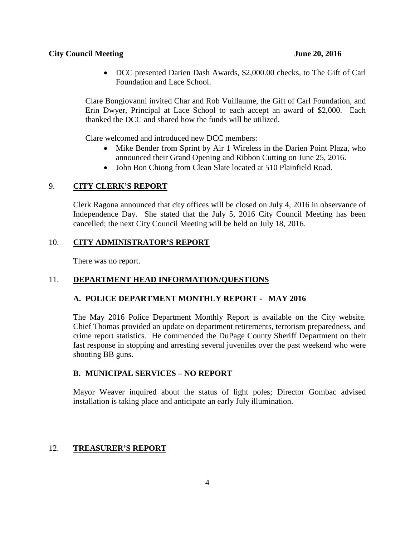#### **City Council Meeting June 20, 2016**

• DCC presented Darien Dash Awards, \$2,000.00 checks, to The Gift of Carl Foundation and Lace School.

Clare Bongiovanni invited Char and Rob Vuillaume, the Gift of Carl Foundation, and Erin Dwyer, Principal at Lace School to each accept an award of \$2,000. Each thanked the DCC and shared how the funds will be utilized.

Clare welcomed and introduced new DCC members:

- Mike Bender from Sprint by Air 1 Wireless in the Darien Point Plaza, who announced their Grand Opening and Ribbon Cutting on June 25, 2016.
- John Bon Chiong from Clean Slate located at 510 Plainfield Road.

# 9. **CITY CLERK'S REPORT**

Clerk Ragona announced that city offices will be closed on July 4, 2016 in observance of Independence Day. She stated that the July 5, 2016 City Council Meeting has been cancelled; the next City Council Meeting will be held on July 18, 2016.

# 10. **CITY ADMINISTRATOR'S REPORT**

There was no report.

# 11. **DEPARTMENT HEAD INFORMATION/QUESTIONS**

# **A. POLICE DEPARTMENT MONTHLY REPORT - MAY 2016**

The May 2016 Police Department Monthly Report is available on the City website. Chief Thomas provided an update on department retirements, terrorism preparedness, and crime report statistics. He commended the DuPage County Sheriff Department on their fast response in stopping and arresting several juveniles over the past weekend who were shooting BB guns.

# **B. MUNICIPAL SERVICES – NO REPORT**

Mayor Weaver inquired about the status of light poles; Director Gombac advised installation is taking place and anticipate an early July illumination.

# 12. **TREASURER'S REPORT**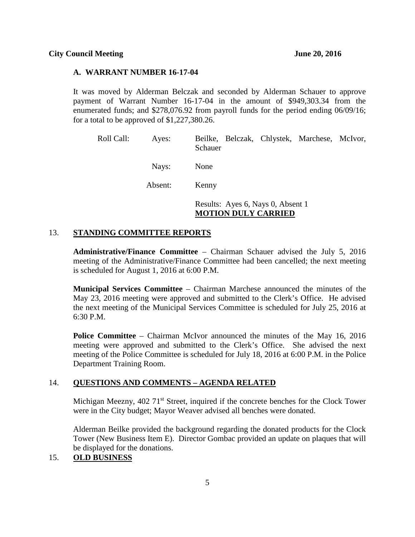#### **A. WARRANT NUMBER 16-17-04**

It was moved by Alderman Belczak and seconded by Alderman Schauer to approve payment of Warrant Number 16-17-04 in the amount of \$949,303.34 from the enumerated funds; and \$278,076.92 from payroll funds for the period ending 06/09/16; for a total to be approved of \$1,227,380.26.

| Roll Call: | Ayes:   | Beilke, Belczak, Chlystek, Marchese, McIvor,<br>Schauer         |
|------------|---------|-----------------------------------------------------------------|
|            | Nays:   | None                                                            |
|            | Absent: | Kenny                                                           |
|            |         | Results: Ayes 6, Nays 0, Absent 1<br><b>MOTION DULY CARRIED</b> |

# 13. **STANDING COMMITTEE REPORTS**

**Administrative/Finance Committee** – Chairman Schauer advised the July 5, 2016 meeting of the Administrative/Finance Committee had been cancelled; the next meeting is scheduled for August 1, 2016 at 6:00 P.M.

**Municipal Services Committee** – Chairman Marchese announced the minutes of the May 23, 2016 meeting were approved and submitted to the Clerk's Office. He advised the next meeting of the Municipal Services Committee is scheduled for July 25, 2016 at 6:30 P.M.

**Police Committee** – Chairman McIvor announced the minutes of the May 16, 2016 meeting were approved and submitted to the Clerk's Office. She advised the next meeting of the Police Committee is scheduled for July 18, 2016 at 6:00 P.M. in the Police Department Training Room.

# 14. **QUESTIONS AND COMMENTS – AGENDA RELATED**

Michigan Meezny, 402 71<sup>st</sup> Street, inquired if the concrete benches for the Clock Tower were in the City budget; Mayor Weaver advised all benches were donated.

Alderman Beilke provided the background regarding the donated products for the Clock Tower (New Business Item E). Director Gombac provided an update on plaques that will be displayed for the donations.

# 15. **OLD BUSINESS**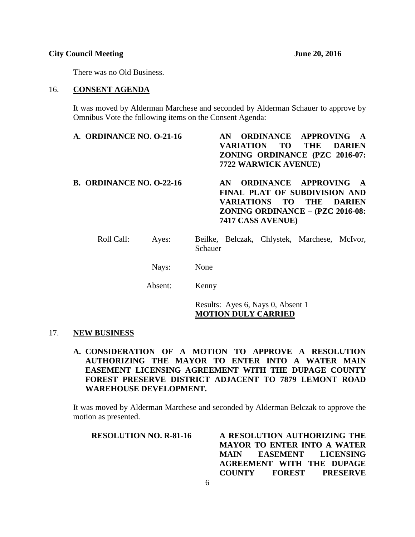#### **City Council Meeting June 20, 2016**

There was no Old Business.

#### 16. **CONSENT AGENDA**

It was moved by Alderman Marchese and seconded by Alderman Schauer to approve by Omnibus Vote the following items on the Consent Agenda:

| A. ORDINANCE NO. 0-21-16        |         |         | AN.<br>VARIATION | TO T<br>7722 WARWICK AVENUE) | <b>ORDINANCE APPROVING</b><br><b>THE</b><br>ZONING ORDINANCE (PZC 2016-07:                                                  | <b>DARIEN</b> |
|---------------------------------|---------|---------|------------------|------------------------------|-----------------------------------------------------------------------------------------------------------------------------|---------------|
| <b>B. ORDINANCE NO. 0-22-16</b> |         |         | AN.              | 7417 CASS AVENUE)            | <b>ORDINANCE APPROVING</b><br>FINAL PLAT OF SUBDIVISION AND<br>VARIATIONS TO THE DARIEN<br>ZONING ORDINANCE - (PZC 2016-08: | $\mathbf{A}$  |
| Roll Call:                      | Ayes:   | Schauer |                  |                              | Beilke, Belczak, Chlystek, Marchese, McIvor,                                                                                |               |
|                                 | Nays:   | None    |                  |                              |                                                                                                                             |               |
|                                 | Absent: | Kenny   |                  |                              |                                                                                                                             |               |

Results: Ayes 6, Nays 0, Absent 1 **MOTION DULY CARRIED**

#### 17. **NEW BUSINESS**

**A. CONSIDERATION OF A MOTION TO APPROVE A RESOLUTION AUTHORIZING THE MAYOR TO ENTER INTO A WATER MAIN EASEMENT LICENSING AGREEMENT WITH THE DUPAGE COUNTY FOREST PRESERVE DISTRICT ADJACENT TO 7879 LEMONT ROAD WAREHOUSE DEVELOPMENT.**

It was moved by Alderman Marchese and seconded by Alderman Belczak to approve the motion as presented.

| <b>RESOLUTION NO. R-81-16</b> | A RESOLUTION AUTHORIZING THE       |
|-------------------------------|------------------------------------|
|                               | <b>MAYOR TO ENTER INTO A WATER</b> |
|                               | MAIN EASEMENT LICENSING            |
|                               | AGREEMENT WITH THE DUPAGE          |
|                               | FOREST PRESERVE<br><b>COUNTY</b>   |
|                               |                                    |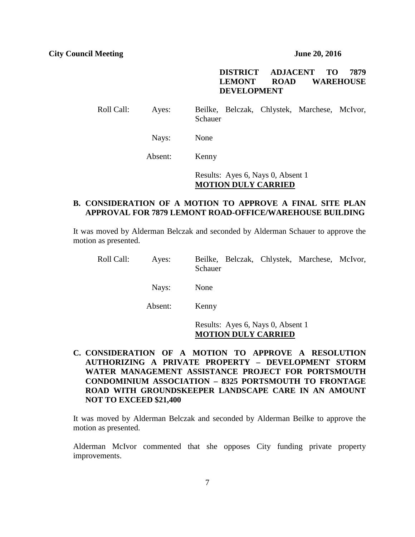# **DISTRICT ADJACENT TO 7879 LEMONT ROAD WAREHOUSE DEVELOPMENT**

Roll Call: Ayes: Beilke, Belczak, Chlystek, Marchese, McIvor, Schauer

Nays: None

Absent: Kenny

Results: Ayes 6, Nays 0, Absent 1 **MOTION DULY CARRIED**

# **B. CONSIDERATION OF A MOTION TO APPROVE A FINAL SITE PLAN APPROVAL FOR 7879 LEMONT ROAD-OFFICE/WAREHOUSE BUILDING**

It was moved by Alderman Belczak and seconded by Alderman Schauer to approve the motion as presented.

| Roll Call: | Ayes:   | Beilke, Belczak, Chlystek, Marchese, McIvor,<br>Schauer         |
|------------|---------|-----------------------------------------------------------------|
|            | Nays:   | None                                                            |
|            | Absent: | Kenny                                                           |
|            |         | Results: Ayes 6, Nays 0, Absent 1<br><b>MOTION DULY CARRIED</b> |

**C. CONSIDERATION OF A MOTION TO APPROVE A RESOLUTION AUTHORIZING A PRIVATE PROPERTY – DEVELOPMENT STORM WATER MANAGEMENT ASSISTANCE PROJECT FOR PORTSMOUTH CONDOMINIUM ASSOCIATION – 8325 PORTSMOUTH TO FRONTAGE ROAD WITH GROUNDSKEEPER LANDSCAPE CARE IN AN AMOUNT NOT TO EXCEED \$21,400**

It was moved by Alderman Belczak and seconded by Alderman Beilke to approve the motion as presented.

Alderman McIvor commented that she opposes City funding private property improvements.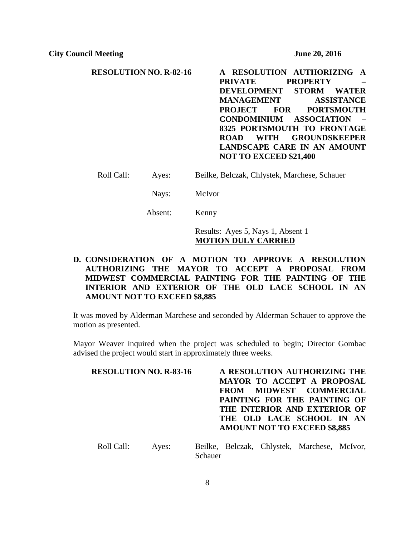**RESOLUTION NO. R-82-16 A RESOLUTION AUTHORIZING A PRIVATE PROPERTY – DEVELOPMENT STORM WATER MANAGEMENT ASSISTANCE PROJECT FOR PORTSMOUTH CONDOMINIUM ASSOCIATION – 8325 PORTSMOUTH TO FRONTAGE ROAD WITH GROUNDSKEEPER LANDSCAPE CARE IN AN AMOUNT NOT TO EXCEED \$21,400**

Roll Call: Ayes: Beilke, Belczak, Chlystek, Marchese, Schauer

Nays: McIvor

Absent: Kenny

Results: Ayes 5, Nays 1, Absent 1 **MOTION DULY CARRIED**

# **D. CONSIDERATION OF A MOTION TO APPROVE A RESOLUTION AUTHORIZING THE MAYOR TO ACCEPT A PROPOSAL FROM MIDWEST COMMERCIAL PAINTING FOR THE PAINTING OF THE INTERIOR AND EXTERIOR OF THE OLD LACE SCHOOL IN AN AMOUNT NOT TO EXCEED \$8,885**

It was moved by Alderman Marchese and seconded by Alderman Schauer to approve the motion as presented.

Mayor Weaver inquired when the project was scheduled to begin; Director Gombac advised the project would start in approximately three weeks.

| <b>RESOLUTION NO. R-83-16</b> | A RESOLUTION AUTHORIZING THE        |
|-------------------------------|-------------------------------------|
|                               | MAYOR TO ACCEPT A PROPOSAL          |
|                               | FROM MIDWEST COMMERCIAL             |
|                               | PAINTING FOR THE PAINTING OF        |
|                               | THE INTERIOR AND EXTERIOR OF        |
|                               | THE OLD LACE SCHOOL IN AN           |
|                               | <b>AMOUNT NOT TO EXCEED \$8,885</b> |
|                               |                                     |

Roll Call: Ayes: Beilke, Belczak, Chlystek, Marchese, McIvor, Schauer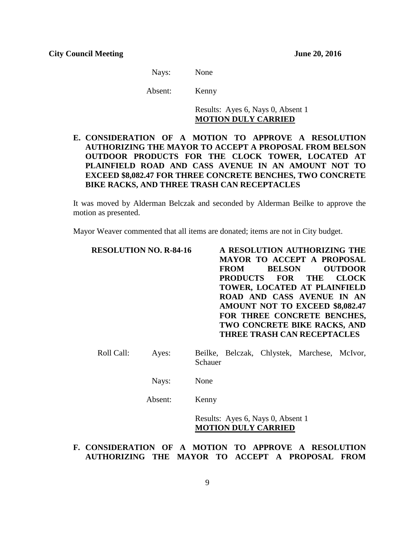Nays: None

Absent: Kenny

Results: Ayes 6, Nays 0, Absent 1 **MOTION DULY CARRIED**

# **E. CONSIDERATION OF A MOTION TO APPROVE A RESOLUTION AUTHORIZING THE MAYOR TO ACCEPT A PROPOSAL FROM BELSON OUTDOOR PRODUCTS FOR THE CLOCK TOWER, LOCATED AT PLAINFIELD ROAD AND CASS AVENUE IN AN AMOUNT NOT TO EXCEED \$8,082.47 FOR THREE CONCRETE BENCHES, TWO CONCRETE BIKE RACKS, AND THREE TRASH CAN RECEPTACLES**

It was moved by Alderman Belczak and seconded by Alderman Beilke to approve the motion as presented.

Mayor Weaver commented that all items are donated; items are not in City budget.

| <b>RESOLUTION NO. R-84-16</b>                        | A RESOLUTION AUTHORIZING THE<br><b>MAYOR TO ACCEPT A PROPOSAL</b><br><b>FROM</b><br><b>BELSON</b><br><b>OUTDOOR</b><br><b>PRODUCTS</b><br><b>FOR</b><br><b>CLOCK</b><br><b>THE</b><br>TOWER, LOCATED AT PLAINFIELD<br>ROAD AND CASS AVENUE IN AN<br><b>AMOUNT NOT TO EXCEED \$8,082.47</b><br>FOR THREE CONCRETE BENCHES,<br>TWO CONCRETE BIKE RACKS, AND<br><b>THREE TRASH CAN RECEPTACLES</b> |
|------------------------------------------------------|-------------------------------------------------------------------------------------------------------------------------------------------------------------------------------------------------------------------------------------------------------------------------------------------------------------------------------------------------------------------------------------------------|
| Roll Call:<br>Ayes:                                  | Beilke, Belczak, Chlystek, Marchese, McIvor,<br>Schauer                                                                                                                                                                                                                                                                                                                                         |
| Nays:                                                | None                                                                                                                                                                                                                                                                                                                                                                                            |
| Absent:                                              | Kenny                                                                                                                                                                                                                                                                                                                                                                                           |
| F. CONSIDERATION OF A MOTION TO APPROVE A RESOLUTION | Results: Ayes 6, Nays 0, Absent 1<br><b>MOTION DULY CARRIED</b>                                                                                                                                                                                                                                                                                                                                 |

# **AUTHORIZING THE MAYOR TO ACCEPT A PROPOSAL FROM**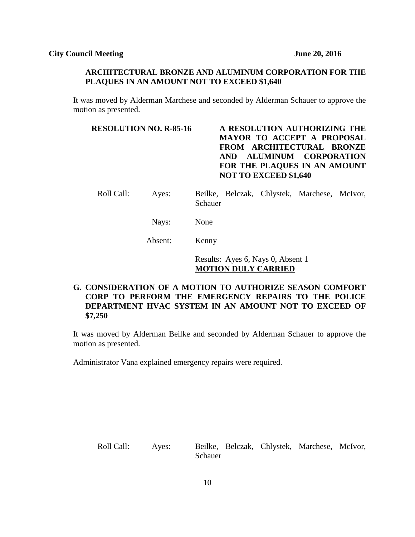#### **ARCHITECTURAL BRONZE AND ALUMINUM CORPORATION FOR THE PLAQUES IN AN AMOUNT NOT TO EXCEED \$1,640**

It was moved by Alderman Marchese and seconded by Alderman Schauer to approve the motion as presented.

# **RESOLUTION NO. R-85-16 A RESOLUTION AUTHORIZING THE MAYOR TO ACCEPT A PROPOSAL FROM ARCHITECTURAL BRONZE AND ALUMINUM CORPORATION FOR THE PLAQUES IN AN AMOUNT NOT TO EXCEED \$1,640**

- Roll Call: Ayes: Beilke, Belczak, Chlystek, Marchese, McIvor, Schauer
	- Nays: None

Absent: Kenny

Results: Ayes 6, Nays 0, Absent 1 **MOTION DULY CARRIED**

# **G. CONSIDERATION OF A MOTION TO AUTHORIZE SEASON COMFORT CORP TO PERFORM THE EMERGENCY REPAIRS TO THE POLICE DEPARTMENT HVAC SYSTEM IN AN AMOUNT NOT TO EXCEED OF \$7,250**

It was moved by Alderman Beilke and seconded by Alderman Schauer to approve the motion as presented.

Administrator Vana explained emergency repairs were required.

Roll Call: Ayes: Beilke, Belczak, Chlystek, Marchese, McIvor, Schauer